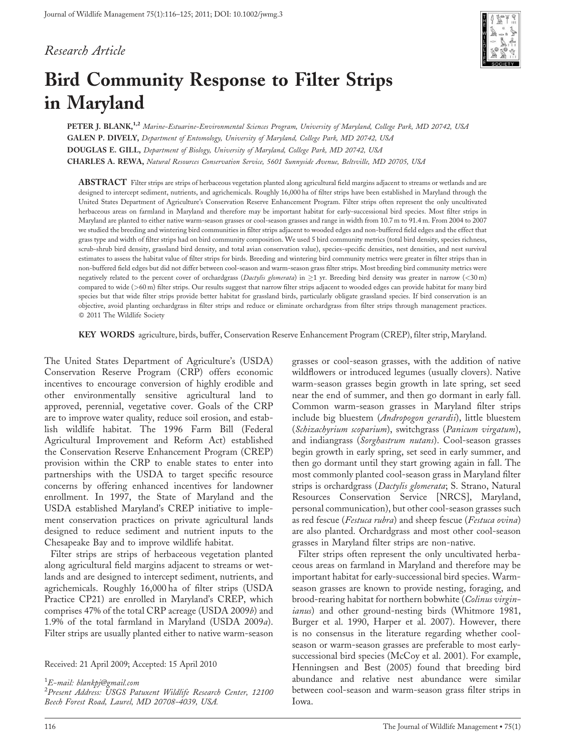# Research Article



# Bird Community Response to Filter Strips in Maryland

PETER J. BLANK,<sup>1,2</sup> Marine-Estuarine-Environmental Sciences Program, University of Maryland, College Park, MD 20742, USA GALEN P. DIVELY, Department of Entomology, University of Maryland, College Park, MD 20742, USA DOUGLAS E. GILL, Department of Biology, University of Maryland, College Park, MD 20742, USA CHARLES A. REWA, Natural Resources Conservation Service, 5601 Sunnyside Avenue, Beltsville, MD 20705, USA

ABSTRACT Filter strips are strips of herbaceous vegetation planted along agricultural field margins adjacent to streams or wetlands and are designed to intercept sediment, nutrients, and agrichemicals. Roughly 16,000 ha of filter strips have been established in Maryland through the United States Department of Agriculture's Conservation Reserve Enhancement Program. Filter strips often represent the only uncultivated herbaceous areas on farmland in Maryland and therefore may be important habitat for early-successional bird species. Most filter strips in Maryland are planted to either native warm-season grasses or cool-season grasses and range in width from 10.7 m to 91.4 m. From 2004 to 2007 we studied the breeding and wintering bird communities in filter strips adjacent to wooded edges and non-buffered field edges and the effect that grass type and width of filter strips had on bird community composition. We used 5 bird community metrics (total bird density, species richness, scrub-shrub bird density, grassland bird density, and total avian conservation value), species-specific densities, nest densities, and nest survival estimates to assess the habitat value of filter strips for birds. Breeding and wintering bird community metrics were greater in filter strips than in non-buffered field edges but did not differ between cool-season and warm-season grass filter strips. Most breeding bird community metrics were negatively related to the percent cover of orchardgrass (Dactylis glomerata) in  $\geq$ 1 yr. Breeding bird density was greater in narrow (<30 m) compared to wide (>60 m) filter strips. Our results suggest that narrow filter strips adjacent to wooded edges can provide habitat for many bird species but that wide filter strips provide better habitat for grassland birds, particularly obligate grassland species. If bird conservation is an objective, avoid planting orchardgrass in filter strips and reduce or eliminate orchardgrass from filter strips through management practices. 2011 The Wildlife Society

KEY WORDS agriculture, birds, buffer, Conservation Reserve Enhancement Program (CREP), filter strip, Maryland.

The United States Department of Agriculture's (USDA) Conservation Reserve Program (CRP) offers economic incentives to encourage conversion of highly erodible and other environmentally sensitive agricultural land to approved, perennial, vegetative cover. Goals of the CRP are to improve water quality, reduce soil erosion, and establish wildlife habitat. The 1996 Farm Bill (Federal Agricultural Improvement and Reform Act) established the Conservation Reserve Enhancement Program (CREP) provision within the CRP to enable states to enter into partnerships with the USDA to target specific resource concerns by offering enhanced incentives for landowner enrollment. In 1997, the State of Maryland and the USDA established Maryland's CREP initiative to implement conservation practices on private agricultural lands designed to reduce sediment and nutrient inputs to the Chesapeake Bay and to improve wildlife habitat.

Filter strips are strips of herbaceous vegetation planted along agricultural field margins adjacent to streams or wetlands and are designed to intercept sediment, nutrients, and agrichemicals. Roughly 16,000 ha of filter strips (USDA Practice CP21) are enrolled in Maryland's CREP, which comprises 47% of the total CRP acreage (USDA 2009b) and 1.9% of the total farmland in Maryland (USDA 2009a). Filter strips are usually planted either to native warm-season

Received: 21 April 2009; Accepted: 15 April 2010

 $^1$ E-mail: blankpj@gmail.com

<sup>2</sup> Present Address: USGS Patuxent Wildlife Research Center, 12100 Beech Forest Road, Laurel, MD 20708-4039, USA.

grasses or cool-season grasses, with the addition of native wildflowers or introduced legumes (usually clovers). Native warm-season grasses begin growth in late spring, set seed near the end of summer, and then go dormant in early fall. Common warm-season grasses in Maryland filter strips include big bluestem (Andropogon gerardii), little bluestem (Schizachyrium scoparium), switchgrass (Panicum virgatum), and indiangrass (Sorghastrum nutans). Cool-season grasses begin growth in early spring, set seed in early summer, and then go dormant until they start growing again in fall. The most commonly planted cool-season grass in Maryland filter strips is orchardgrass (Dactylis glomerata; S. Strano, Natural Resources Conservation Service [NRCS], Maryland, personal communication), but other cool-season grasses such as red fescue (Festuca rubra) and sheep fescue (Festuca ovina) are also planted. Orchardgrass and most other cool-season grasses in Maryland filter strips are non-native.

Filter strips often represent the only uncultivated herbaceous areas on farmland in Maryland and therefore may be important habitat for early-successional bird species. Warmseason grasses are known to provide nesting, foraging, and brood-rearing habitat for northern bobwhite (Colinus virginianus) and other ground-nesting birds (Whitmore 1981, Burger et al. 1990, Harper et al. 2007). However, there is no consensus in the literature regarding whether coolseason or warm-season grasses are preferable to most earlysuccessional bird species (McCoy et al. 2001). For example, Henningsen and Best (2005) found that breeding bird abundance and relative nest abundance were similar between cool-season and warm-season grass filter strips in Iowa.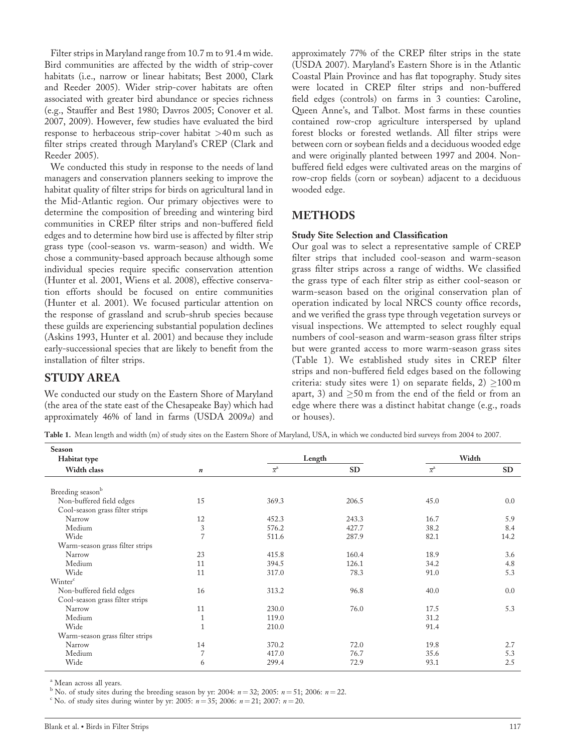Filter strips in Maryland range from 10.7 m to 91.4 m wide. Bird communities are affected by the width of strip-cover habitats (i.e., narrow or linear habitats; Best 2000, Clark and Reeder 2005). Wider strip-cover habitats are often associated with greater bird abundance or species richness (e.g., Stauffer and Best 1980; Davros 2005; Conover et al. 2007, 2009). However, few studies have evaluated the bird response to herbaceous strip-cover habitat >40 m such as filter strips created through Maryland's CREP (Clark and Reeder 2005).

We conducted this study in response to the needs of land managers and conservation planners seeking to improve the habitat quality of filter strips for birds on agricultural land in the Mid-Atlantic region. Our primary objectives were to determine the composition of breeding and wintering bird communities in CREP filter strips and non-buffered field edges and to determine how bird use is affected by filter strip grass type (cool-season vs. warm-season) and width. We chose a community-based approach because although some individual species require specific conservation attention (Hunter et al. 2001, Wiens et al. 2008), effective conservation efforts should be focused on entire communities (Hunter et al. 2001). We focused particular attention on the response of grassland and scrub-shrub species because these guilds are experiencing substantial population declines (Askins 1993, Hunter et al. 2001) and because they include early-successional species that are likely to benefit from the installation of filter strips.

# STUDY AREA

We conducted our study on the Eastern Shore of Maryland (the area of the state east of the Chesapeake Bay) which had approximately 46% of land in farms (USDA 2009a) and

approximately 77% of the CREP filter strips in the state (USDA 2007). Maryland's Eastern Shore is in the Atlantic Coastal Plain Province and has flat topography. Study sites were located in CREP filter strips and non-buffered field edges (controls) on farms in 3 counties: Caroline, Queen Anne's, and Talbot. Most farms in these counties contained row-crop agriculture interspersed by upland forest blocks or forested wetlands. All filter strips were between corn or soybean fields and a deciduous wooded edge and were originally planted between 1997 and 2004. Nonbuffered field edges were cultivated areas on the margins of row-crop fields (corn or soybean) adjacent to a deciduous wooded edge.

# METHODS

#### Study Site Selection and Classification

Our goal was to select a representative sample of CREP filter strips that included cool-season and warm-season grass filter strips across a range of widths. We classified the grass type of each filter strip as either cool-season or warm-season based on the original conservation plan of operation indicated by local NRCS county office records, and we verified the grass type through vegetation surveys or visual inspections. We attempted to select roughly equal numbers of cool-season and warm-season grass filter strips but were granted access to more warm-season grass sites (Table 1). We established study sites in CREP filter strips and non-buffered field edges based on the following criteria: study sites were 1) on separate fields,  $2) \ge 100$  m apart, 3) and  $\geq$ 50 m from the end of the field or from an edge where there was a distinct habitat change (e.g., roads or houses).

Table 1. Mean length and width (m) of study sites on the Eastern Shore of Maryland, USA, in which we conducted bird surveys from 2004 to 2007.

| Season                          |                  |                             |           |                  |      |  |
|---------------------------------|------------------|-----------------------------|-----------|------------------|------|--|
| Habitat type                    |                  |                             | Length    | Width            |      |  |
| Width class                     | $\boldsymbol{n}$ | $\overline{x}^{\mathbf{a}}$ | <b>SD</b> | $\overline{x}^a$ | SD   |  |
|                                 |                  |                             |           |                  |      |  |
| Breeding seasonb                |                  |                             |           |                  |      |  |
| Non-buffered field edges        | 15               | 369.3                       | 206.5     | 45.0             | 0.0  |  |
| Cool-season grass filter strips |                  |                             |           |                  |      |  |
| Narrow                          | 12               | 452.3                       | 243.3     | 16.7             | 5.9  |  |
| Medium                          | $\sqrt{3}$       | 576.2                       | 427.7     | 38.2             | 8.4  |  |
| Wide                            | $\overline{7}$   | 511.6                       | 287.9     | 82.1             | 14.2 |  |
| Warm-season grass filter strips |                  |                             |           |                  |      |  |
| Narrow                          | 23               | 415.8                       | 160.4     | 18.9             | 3.6  |  |
| Medium                          | 11               | 394.5                       | 126.1     | 34.2             | 4.8  |  |
| Wide                            | 11               | 317.0                       | 78.3      | 91.0             | 5.3  |  |
| Winter <sup>c</sup>             |                  |                             |           |                  |      |  |
| Non-buffered field edges        | 16               | 313.2                       | 96.8      | 40.0             | 0.0  |  |
| Cool-season grass filter strips |                  |                             |           |                  |      |  |
| Narrow                          | 11               | 230.0                       | 76.0      | 17.5             | 5.3  |  |
| Medium                          | $\mathbf{1}$     | 119.0                       |           | 31.2             |      |  |
| Wide                            | $\mathbf{1}$     | 210.0                       |           | 91.4             |      |  |
| Warm-season grass filter strips |                  |                             |           |                  |      |  |
| Narrow                          | 14               | 370.2                       | 72.0      | 19.8             | 2.7  |  |
| Medium                          | $\overline{7}$   | 417.0                       | 76.7      | 35.6             | 5.3  |  |
| Wide                            | 6                | 299.4                       | 72.9      | 93.1             | 2.5  |  |

<sup>a</sup> Mean across all years.

<sup>b</sup> No. of study sites during the breeding season by yr: 2004:  $n = 32$ ; 2005:  $n = 51$ ; 2006:  $n = 22$ .

<sup>c</sup> No. of study sites during winter by yr: 2005:  $n = 35$ ; 2006:  $n = 21$ ; 2007:  $n = 20$ .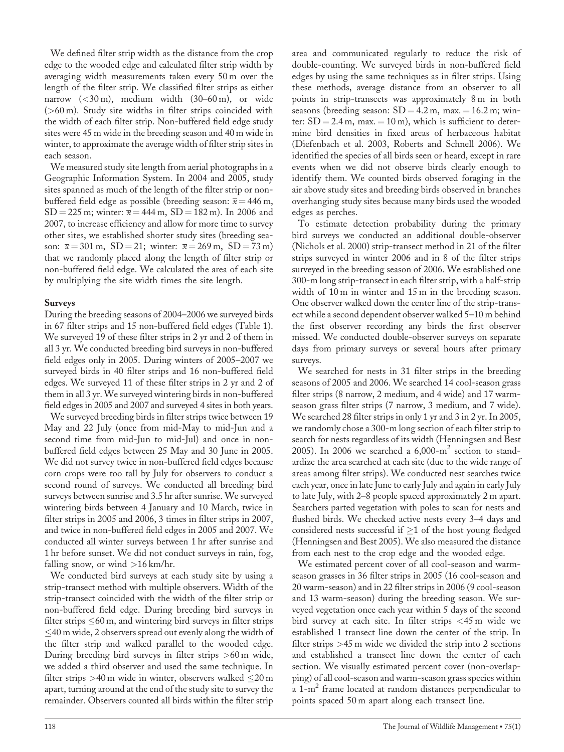We defined filter strip width as the distance from the crop edge to the wooded edge and calculated filter strip width by averaging width measurements taken every 50 m over the length of the filter strip. We classified filter strips as either narrow (<30 m), medium width (30–60 m), or wide (>60 m). Study site widths in filter strips coincided with the width of each filter strip. Non-buffered field edge study sites were 45 m wide in the breeding season and 40 m wide in winter, to approximate the average width of filter strip sites in each season.

We measured study site length from aerial photographs in a Geographic Information System. In 2004 and 2005, study sites spanned as much of the length of the filter strip or nonbuffered field edge as possible (breeding season:  $\bar{x} = 446$  m,  $SD = 225$  m; winter:  $\bar{x} = 444$  m,  $SD = 182$  m). In 2006 and 2007, to increase efficiency and allow for more time to survey other sites, we established shorter study sites (breeding season:  $\bar{x} = 301 \text{ m}$ , SD = 21; winter:  $\bar{x} = 269 \text{ m}$ , SD = 73 m) that we randomly placed along the length of filter strip or non-buffered field edge. We calculated the area of each site by multiplying the site width times the site length.

#### Surveys

During the breeding seasons of 2004–2006 we surveyed birds in 67 filter strips and 15 non-buffered field edges (Table 1). We surveyed 19 of these filter strips in 2 yr and 2 of them in all 3 yr. We conducted breeding bird surveys in non-buffered field edges only in 2005. During winters of 2005–2007 we surveyed birds in 40 filter strips and 16 non-buffered field edges. We surveyed 11 of these filter strips in 2 yr and 2 of them in all 3 yr. We surveyed wintering birds in non-buffered field edges in 2005 and 2007 and surveyed 4 sites in both years.

We surveyed breeding birds in filter strips twice between 19 May and 22 July (once from mid-May to mid-Jun and a second time from mid-Jun to mid-Jul) and once in nonbuffered field edges between 25 May and 30 June in 2005. We did not survey twice in non-buffered field edges because corn crops were too tall by July for observers to conduct a second round of surveys. We conducted all breeding bird surveys between sunrise and 3.5 hr after sunrise. We surveyed wintering birds between 4 January and 10 March, twice in filter strips in 2005 and 2006, 3 times in filter strips in 2007, and twice in non-buffered field edges in 2005 and 2007. We conducted all winter surveys between 1 hr after sunrise and 1 hr before sunset. We did not conduct surveys in rain, fog, falling snow, or wind >16 km/hr.

We conducted bird surveys at each study site by using a strip-transect method with multiple observers. Width of the strip-transect coincided with the width of the filter strip or non-buffered field edge. During breeding bird surveys in filter strips  $\leq 60$  m, and wintering bird surveys in filter strips  $\leq$ 40 m wide, 2 observers spread out evenly along the width of the filter strip and walked parallel to the wooded edge. During breeding bird surveys in filter strips >60 m wide, we added a third observer and used the same technique. In filter strips  $>40$  m wide in winter, observers walked  $\leq$ 20 m apart, turning around at the end of the study site to survey the remainder. Observers counted all birds within the filter strip

area and communicated regularly to reduce the risk of double-counting. We surveyed birds in non-buffered field edges by using the same techniques as in filter strips. Using these methods, average distance from an observer to all points in strip-transects was approximately 8 m in both seasons (breeding season:  $SD = 4.2$  m, max.  $= 16.2$  m; winter:  $SD = 2.4$  m, max.  $= 10$  m), which is sufficient to determine bird densities in fixed areas of herbaceous habitat (Diefenbach et al. 2003, Roberts and Schnell 2006). We identified the species of all birds seen or heard, except in rare events when we did not observe birds clearly enough to identify them. We counted birds observed foraging in the air above study sites and breeding birds observed in branches overhanging study sites because many birds used the wooded edges as perches.

To estimate detection probability during the primary bird surveys we conducted an additional double-observer (Nichols et al. 2000) strip-transect method in 21 of the filter strips surveyed in winter 2006 and in 8 of the filter strips surveyed in the breeding season of 2006. We established one 300-m long strip-transect in each filter strip, with a half-strip width of 10 m in winter and 15 m in the breeding season. One observer walked down the center line of the strip-transect while a second dependent observer walked 5–10 m behind the first observer recording any birds the first observer missed. We conducted double-observer surveys on separate days from primary surveys or several hours after primary surveys.

We searched for nests in 31 filter strips in the breeding seasons of 2005 and 2006. We searched 14 cool-season grass filter strips (8 narrow, 2 medium, and 4 wide) and 17 warmseason grass filter strips (7 narrow, 3 medium, and 7 wide). We searched 28 filter strips in only 1 yr and 3 in 2 yr. In 2005, we randomly chose a 300-m long section of each filter strip to search for nests regardless of its width (Henningsen and Best 2005). In 2006 we searched a  $6,000 \text{--} \text{m}^2$  section to standardize the area searched at each site (due to the wide range of areas among filter strips). We conducted nest searches twice each year, once in late June to early July and again in early July to late July, with 2–8 people spaced approximately 2 m apart. Searchers parted vegetation with poles to scan for nests and flushed birds. We checked active nests every 3–4 days and considered nests successful if  $\geq 1$  of the host young fledged (Henningsen and Best 2005). We also measured the distance from each nest to the crop edge and the wooded edge.

We estimated percent cover of all cool-season and warmseason grasses in 36 filter strips in 2005 (16 cool-season and 20 warm-season) and in 22 filter strips in 2006 (9 cool-season and 13 warm-season) during the breeding season. We surveyed vegetation once each year within 5 days of the second bird survey at each site. In filter strips <45 m wide we established 1 transect line down the center of the strip. In filter strips  $>45$  m wide we divided the strip into 2 sections and established a transect line down the center of each section. We visually estimated percent cover (non-overlapping) of all cool-season and warm-season grass species within a 1-m<sup>2</sup> frame located at random distances perpendicular to points spaced 50 m apart along each transect line.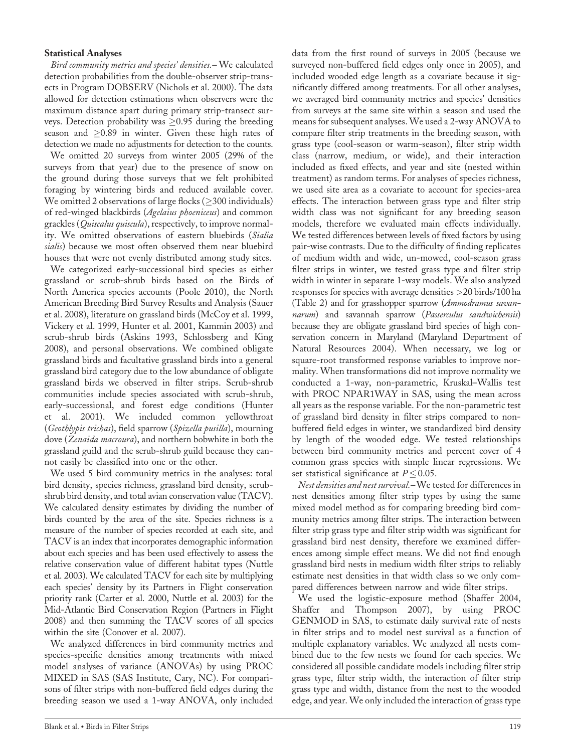#### Statistical Analyses

Bird community metrics and species' densities.– We calculated detection probabilities from the double-observer strip-transects in Program DOBSERV (Nichols et al. 2000). The data allowed for detection estimations when observers were the maximum distance apart during primary strip-transect surveys. Detection probability was  $\geq 0.95$  during the breeding season and  $\geq$ 0.89 in winter. Given these high rates of detection we made no adjustments for detection to the counts.

We omitted 20 surveys from winter 2005 (29% of the surveys from that year) due to the presence of snow on the ground during those surveys that we felt prohibited foraging by wintering birds and reduced available cover. We omitted 2 observations of large flocks ( $\geq$ 300 individuals) of red-winged blackbirds (Agelaius phoeniceus) and common grackles (*Quiscalus quiscula*), respectively, to improve normality. We omitted observations of eastern bluebirds (Sialia sialis) because we most often observed them near bluebird houses that were not evenly distributed among study sites.

We categorized early-successional bird species as either grassland or scrub-shrub birds based on the Birds of North America species accounts (Poole 2010), the North American Breeding Bird Survey Results and Analysis (Sauer et al. 2008), literature on grassland birds (McCoy et al. 1999, Vickery et al. 1999, Hunter et al. 2001, Kammin 2003) and scrub-shrub birds (Askins 1993, Schlossberg and King 2008), and personal observations. We combined obligate grassland birds and facultative grassland birds into a general grassland bird category due to the low abundance of obligate grassland birds we observed in filter strips. Scrub-shrub communities include species associated with scrub-shrub, early-successional, and forest edge conditions (Hunter et al. 2001). We included common yellowthroat (Geothlypis trichas), field sparrow (Spizella pusilla), mourning dove (Zenaida macroura), and northern bobwhite in both the grassland guild and the scrub-shrub guild because they cannot easily be classified into one or the other.

We used 5 bird community metrics in the analyses: total bird density, species richness, grassland bird density, scrubshrub bird density, and total avian conservation value (TACV). We calculated density estimates by dividing the number of birds counted by the area of the site. Species richness is a measure of the number of species recorded at each site, and TACV is an index that incorporates demographic information about each species and has been used effectively to assess the relative conservation value of different habitat types (Nuttle et al. 2003). We calculated TACV for each site by multiplying each species' density by its Partners in Flight conservation priority rank (Carter et al. 2000, Nuttle et al. 2003) for the Mid-Atlantic Bird Conservation Region (Partners in Flight 2008) and then summing the TACV scores of all species within the site (Conover et al. 2007).

We analyzed differences in bird community metrics and species-specific densities among treatments with mixed model analyses of variance (ANOVAs) by using PROC MIXED in SAS (SAS Institute, Cary, NC). For comparisons of filter strips with non-buffered field edges during the breeding season we used a 1-way ANOVA, only included data from the first round of surveys in 2005 (because we surveyed non-buffered field edges only once in 2005), and included wooded edge length as a covariate because it significantly differed among treatments. For all other analyses, we averaged bird community metrics and species' densities from surveys at the same site within a season and used the means for subsequent analyses. We used a 2-way ANOVA to compare filter strip treatments in the breeding season, with grass type (cool-season or warm-season), filter strip width class (narrow, medium, or wide), and their interaction included as fixed effects, and year and site (nested within treatment) as random terms. For analyses of species richness, we used site area as a covariate to account for species-area effects. The interaction between grass type and filter strip width class was not significant for any breeding season models, therefore we evaluated main effects individually. We tested differences between levels of fixed factors by using pair-wise contrasts. Due to the difficulty of finding replicates of medium width and wide, un-mowed, cool-season grass filter strips in winter, we tested grass type and filter strip width in winter in separate 1-way models. We also analyzed responses for species with average densities >20 birds/100 ha (Table 2) and for grasshopper sparrow (Ammodramus savannarum) and savannah sparrow (Passerculus sandwichensis) because they are obligate grassland bird species of high conservation concern in Maryland (Maryland Department of Natural Resources 2004). When necessary, we log or square-root transformed response variables to improve normality. When transformations did not improve normality we conducted a 1-way, non-parametric, Kruskal–Wallis test with PROC NPAR1WAY in SAS, using the mean across all years as the response variable. For the non-parametric test of grassland bird density in filter strips compared to nonbuffered field edges in winter, we standardized bird density by length of the wooded edge. We tested relationships between bird community metrics and percent cover of 4 common grass species with simple linear regressions. We set statistical significance at  $P \leq 0.05$ .

Nest densities and nest survival.–We tested for differences in nest densities among filter strip types by using the same mixed model method as for comparing breeding bird community metrics among filter strips. The interaction between filter strip grass type and filter strip width was significant for grassland bird nest density, therefore we examined differences among simple effect means. We did not find enough grassland bird nests in medium width filter strips to reliably estimate nest densities in that width class so we only compared differences between narrow and wide filter strips.

We used the logistic-exposure method (Shaffer 2004, Shaffer and Thompson 2007), by using PROC GENMOD in SAS, to estimate daily survival rate of nests in filter strips and to model nest survival as a function of multiple explanatory variables. We analyzed all nests combined due to the few nests we found for each species. We considered all possible candidate models including filter strip grass type, filter strip width, the interaction of filter strip grass type and width, distance from the nest to the wooded edge, and year. We only included the interaction of grass type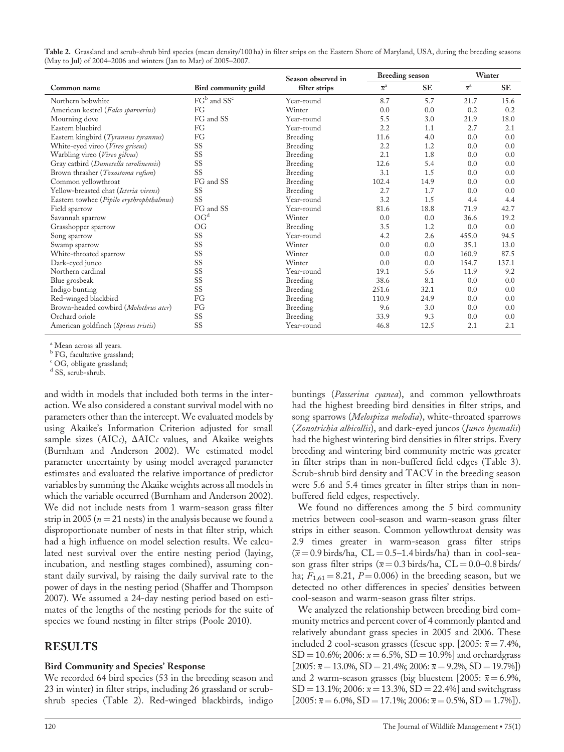| Table 2. Grassland and scrub-shrub bird species (mean density/100 ha) in filter strips on the Eastern Shore of Maryland, USA, during the breeding seasons |  |
|-----------------------------------------------------------------------------------------------------------------------------------------------------------|--|
| (May to Jul) of 2004–2006 and winters (Jan to Mar) of 2005–2007.                                                                                          |  |

|                                          |                                     | Season observed in | <b>Breeding season</b>    |           | Winter           |           |
|------------------------------------------|-------------------------------------|--------------------|---------------------------|-----------|------------------|-----------|
| Common name                              | Bird community guild                | filter strips      | $\overline{x}^{\text{a}}$ | <b>SE</b> | $\overline{x}^a$ | <b>SE</b> |
| Northern bobwhite                        | FG <sup>b</sup> and SS <sup>c</sup> | Year-round         | 8.7                       | 5.7       | 21.7             | 15.6      |
| American kestrel (Falco sparverius)      | FG                                  | Winter             | 0.0                       | 0.0       | 0.2              | 0.2       |
| Mourning dove                            | FG and SS                           | Year-round         | 5.5                       | 3.0       | 21.9             | 18.0      |
| Eastern bluebird                         | FG                                  | Year-round         | 2.2                       | 1.1       | 2.7              | 2.1       |
| Eastern kingbird (Tyrannus tyrannus)     | FG                                  | Breeding           | 11.6                      | 4.0       | 0.0              | 0.0       |
| White-eyed vireo (Vireo griseus)         | SS                                  | Breeding           | 2.2                       | 1.2       | 0.0              | 0.0       |
| Warbling vireo (Vireo gilvus)            | SS                                  | Breeding           | 2.1                       | 1.8       | 0.0              | 0.0       |
| Gray catbird (Dumetella carolinensis)    | SS                                  | Breeding           | 12.6                      | 5.4       | 0.0              | 0.0       |
| Brown thrasher (Toxostoma rufum)         | SS                                  | Breeding           | 3.1                       | 1.5       | 0.0              | 0.0       |
| Common yellowthroat                      | FG and SS                           | Breeding           | 102.4                     | 14.9      | 0.0              | 0.0       |
| Yellow-breasted chat (Icteria virens)    | SS                                  | Breeding           | 2.7                       | 1.7       | 0.0              | 0.0       |
| Eastern towhee (Pipilo erythrophthalmus) | SS                                  | Year-round         | 3.2                       | 1.5       | 4.4              | 4.4       |
| Field sparrow                            | FG and SS                           | Year-round         | 81.6                      | 18.8      | 71.9             | 42.7      |
| Savannah sparrow                         | OG <sup>d</sup>                     | Winter             | 0.0                       | 0.0       | 36.6             | 19.2      |
| Grasshopper sparrow                      | OG                                  | Breeding           | 3.5                       | 1.2       | 0.0              | 0.0       |
| Song sparrow                             | SS                                  | Year-round         | 4.2                       | 2.6       | 455.0            | 94.5      |
| Swamp sparrow                            | SS                                  | Winter             | 0.0                       | 0.0       | 35.1             | 13.0      |
| White-throated sparrow                   | SS                                  | Winter             | 0.0                       | 0.0       | 160.9            | 87.5      |
| Dark-eyed junco                          | SS                                  | Winter             | 0.0                       | 0.0       | 154.7            | 137.1     |
| Northern cardinal                        | SS                                  | Year-round         | 19.1                      | 5.6       | 11.9             | 9.2       |
| Blue grosbeak                            | SS                                  | Breeding           | 38.6                      | 8.1       | 0.0              | 0.0       |
| Indigo bunting                           | SS                                  | Breeding           | 251.6                     | 32.1      | 0.0              | 0.0       |
| Red-winged blackbird                     | FG                                  | Breeding           | 110.9                     | 24.9      | 0.0              | 0.0       |
| Brown-headed cowbird (Molothrus ater)    | FG                                  | Breeding           | 9.6                       | 3.0       | 0.0              | 0.0       |
| Orchard oriole                           | SS                                  | Breeding           | 33.9                      | 9.3       | 0.0              | 0.0       |
| American goldfinch (Spinus tristis)      | SS                                  | Year-round         | 46.8                      | 12.5      | 2.1              | 2.1       |

<sup>a</sup> Mean across all years.

<sup>b</sup> FG, facultative grassland;

<sup>c</sup> OG, obligate grassland;

d SS, scrub-shrub.

and width in models that included both terms in the interaction. We also considered a constant survival model with no parameters other than the intercept. We evaluated models by using Akaike's Information Criterion adjusted for small sample sizes (AICc),  $\Delta AICc$  values, and Akaike weights (Burnham and Anderson 2002). We estimated model parameter uncertainty by using model averaged parameter estimates and evaluated the relative importance of predictor variables by summing the Akaike weights across all models in which the variable occurred (Burnham and Anderson 2002). We did not include nests from 1 warm-season grass filter strip in 2005 ( $n = 21$  nests) in the analysis because we found a disproportionate number of nests in that filter strip, which had a high influence on model selection results. We calculated nest survival over the entire nesting period (laying, incubation, and nestling stages combined), assuming constant daily survival, by raising the daily survival rate to the power of days in the nesting period (Shaffer and Thompson 2007). We assumed a 24-day nesting period based on estimates of the lengths of the nesting periods for the suite of species we found nesting in filter strips (Poole 2010).

## RESULTS

#### Bird Community and Species' Response

We recorded 64 bird species (53 in the breeding season and 23 in winter) in filter strips, including 26 grassland or scrubshrub species (Table 2). Red-winged blackbirds, indigo

buntings (Passerina cyanea), and common yellowthroats had the highest breeding bird densities in filter strips, and song sparrows (Melospiza melodia), white-throated sparrows (Zonotrichia albicollis), and dark-eyed juncos (Junco hyemalis) had the highest wintering bird densities in filter strips. Every breeding and wintering bird community metric was greater in filter strips than in non-buffered field edges (Table 3). Scrub-shrub bird density and TACV in the breeding season were 5.6 and 5.4 times greater in filter strips than in nonbuffered field edges, respectively.

We found no differences among the 5 bird community metrics between cool-season and warm-season grass filter strips in either season. Common yellowthroat density was 2.9 times greater in warm-season grass filter strips  $(\bar{x} = 0.9 \text{ birds/ha}, \text{CL} = 0.5 - 1.4 \text{ birds/ha})$  than in cool-season grass filter strips ( $\overline{x}$  = 0.3 birds/ha, CL = 0.0–0.8 birds/ ha;  $F_{1,61} = 8.21$ ,  $P = 0.006$ ) in the breeding season, but we detected no other differences in species' densities between cool-season and warm-season grass filter strips.

We analyzed the relationship between breeding bird community metrics and percent cover of 4 commonly planted and relatively abundant grass species in 2005 and 2006. These included 2 cool-season grasses (fescue spp. [2005:  $\bar{x} = 7.4\%$ ,  $SD = 10.6\%; 2006: \bar{x} = 6.5\%; SD = 10.9\%]$  and orchardgrass  $[2005: \bar{x} = 13.0\%, SD = 21.4\%; 2006: \bar{x} = 9.2\%, SD = 19.7\%]$ and 2 warm-season grasses (big bluestem [2005:  $\overline{x} = 6.9\%$ ,  $SD = 13.1\%; 2006: \bar{x} = 13.3\%; SD = 22.4\%]$  and switchgrass  $[2005: \bar{x} = 6.0\%, SD = 17.1\%; 2006: \bar{x} = 0.5\%, SD = 1.7\%].$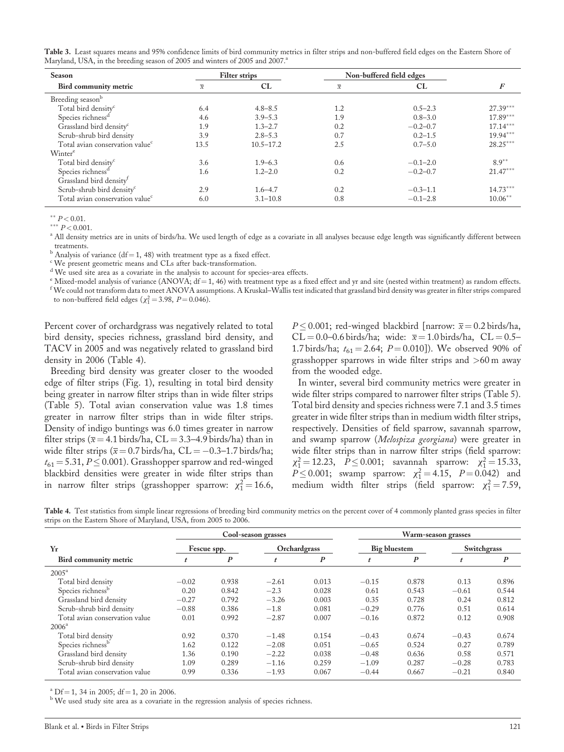Table 3. Least squares means and 95% confidence limits of bird community metrics in filter strips and non-buffered field edges on the Eastern Shore of Maryland, USA, in the breeding season of 2005 and winters of 2005 and 2007.<sup>a</sup>

| Season                                      |                | <b>Filter strips</b> | Non-buffered field edges |              |            |  |
|---------------------------------------------|----------------|----------------------|--------------------------|--------------|------------|--|
| Bird community metric                       | $\overline{x}$ | CL                   | $\overline{x}$           | CL           | F          |  |
| Breeding season <sup>b</sup>                |                |                      |                          |              |            |  |
| Total bird density <sup>c</sup>             | 6.4            | $4.8 - 8.5$          | 1.2                      | $0.5 - 2.3$  | $27.39***$ |  |
| Species richness <sup>a</sup>               | 4.6            | $3.9 - 5.3$          | 1.9                      | $0.8 - 3.0$  | $17.89***$ |  |
| Grassland bird density <sup>c</sup>         | 1.9            | $1.3 - 2.7$          | 0.2                      | $-0.2 - 0.7$ | $17.14***$ |  |
| Scrub-shrub bird density                    | 3.9            | $2.8 - 5.3$          | 0.7                      | $0.2 - 1.5$  | $19.94***$ |  |
| Total avian conservation value <sup>c</sup> | 13.5           | $10.5 - 17.2$        | 2.5                      | $0.7 - 5.0$  | $28.25***$ |  |
| Winter <sup>e</sup>                         |                |                      |                          |              |            |  |
| Total bird density <sup>c</sup>             | 3.6            | $1.9 - 6.3$          | 0.6                      | $-0.1 - 2.0$ | $8.9**$    |  |
| Species richness <sup>d</sup>               | 1.6            | $1.2 - 2.0$          | 0.2<br>$-0.2 - 0.7$      |              | $21.47***$ |  |
| Grassland bird density <sup>t</sup>         |                |                      |                          |              |            |  |
| Scrub-shrub bird density <sup>c</sup>       | 2.9            | $1.6 - 4.7$          | 0.2                      | $-0.3 - 1.1$ | $14.73***$ |  |
| Total avian conservation value <sup>c</sup> | 6.0            | $3.1 - 10.8$         | 0.8                      | $-0.1 - 2.8$ | $10.06***$ |  |

\*\*  $P < 0.01$ .

\*\*\*  $P < 0.001$ .

<sup>a</sup> All density metrics are in units of birds/ha. We used length of edge as a covariate in all analyses because edge length was significantly different between treatments.

 $b$  Analysis of variance (df = 1, 48) with treatment type as a fixed effect.

<sup>c</sup> We present geometric means and CLs after back-transformation.

<sup>d</sup> We used site area as a covariate in the analysis to account for species-area effects.

 $^{\circ}$  Mixed-model analysis of variance (ANOVA; df = 1, 46) with treatment type as a fixed effect and yr and site (nested within treatment) as random effects.  $^{\rm f}$  We could not transform data to meet ANOVA assumptions. A Kruskal–Wallis test indicated that grassland bird density was greater in filter strips compared to non-buffered field edges ( $\chi_1^2 = 3.98, P = 0.046$ ).

Percent cover of orchardgrass was negatively related to total bird density, species richness, grassland bird density, and TACV in 2005 and was negatively related to grassland bird density in 2006 (Table 4).

Breeding bird density was greater closer to the wooded edge of filter strips (Fig. 1), resulting in total bird density being greater in narrow filter strips than in wide filter strips (Table 5). Total avian conservation value was 1.8 times greater in narrow filter strips than in wide filter strips. Density of indigo buntings was 6.0 times greater in narrow filter strips ( $\bar{x}$  = 4.1 birds/ha, CL = 3.3–4.9 birds/ha) than in wide filter strips ( $\overline{x}$  = 0.7 birds/ha, CL = -0.3-1.7 birds/ha;  $t_{61} = 5.31, P \leq 0.001$ ). Grasshopper sparrow and red-winged blackbird densities were greater in wide filter strips than in narrow filter strips (grasshopper sparrow:  $\chi_1^2 = 16.6$ ,

 $P \leq 0.001$ ; red-winged blackbird [narrow:  $\bar{x} = 0.2$  birds/ha,  $CL = 0.0-0.6$  birds/ha; wide:  $\bar{x} = 1.0$  birds/ha,  $CL = 0.5-$ 1.7 birds/ha;  $t_{61} = 2.64$ ;  $P = 0.010$ ]). We observed 90% of grasshopper sparrows in wide filter strips and >60 m away from the wooded edge.

In winter, several bird community metrics were greater in wide filter strips compared to narrower filter strips (Table 5). Total bird density and species richness were 7.1 and 3.5 times greater in wide filter strips than in medium width filter strips, respectively. Densities of field sparrow, savannah sparrow, and swamp sparrow (Melospiza georgiana) were greater in wide filter strips than in narrow filter strips (field sparrow:  $\chi_1^2 = 12.23, \quad P \le 0.001;$  savannah sparrow:  $\chi_1^2 = 15.33,$  $P \le 0.001$ ; swamp sparrow:  $\chi_1^2 = 4.15$ ,  $P = 0.042$ ) and medium width filter strips (field sparrow:  $\chi_1^2 = 7.59$ ,

Table 4. Test statistics from simple linear regressions of breeding bird community metrics on the percent cover of 4 commonly planted grass species in filter strips on the Eastern Shore of Maryland, USA, from 2005 to 2006.

|                                | Cool-season grasses |                  |              |                  | Warm-season grasses |                  |             |                  |
|--------------------------------|---------------------|------------------|--------------|------------------|---------------------|------------------|-------------|------------------|
| Yr                             | Fescue spp.         |                  | Orchardgrass |                  | <b>Big bluestem</b> |                  | Switchgrass |                  |
| Bird community metric          |                     | $\boldsymbol{P}$ |              | $\boldsymbol{P}$ |                     | $\boldsymbol{P}$ | t           | $\boldsymbol{P}$ |
| $2005^{\rm a}$                 |                     |                  |              |                  |                     |                  |             |                  |
| Total bird density             | $-0.02$             | 0.938            | $-2.61$      | 0.013            | $-0.15$             | 0.878            | 0.13        | 0.896            |
| Species richness <sup>b</sup>  | 0.20                | 0.842            | $-2.3$       | 0.028            | 0.61                | 0.543            | $-0.61$     | 0.544            |
| Grassland bird density         | $-0.27$             | 0.792            | $-3.26$      | 0.003            | 0.35                | 0.728            | 0.24        | 0.812            |
| Scrub-shrub bird density       | $-0.88$             | 0.386            | $-1.8$       | 0.081            | $-0.29$             | 0.776            | 0.51        | 0.614            |
| Total avian conservation value | 0.01                | 0.992            | $-2.87$      | 0.007            | $-0.16$             | 0.872            | 0.12        | 0.908            |
| $2006^{\rm a}$                 |                     |                  |              |                  |                     |                  |             |                  |
| Total bird density             | 0.92                | 0.370            | $-1.48$      | 0.154            | $-0.43$             | 0.674            | $-0.43$     | 0.674            |
| Species richness <sup>b</sup>  | 1.62                | 0.122            | $-2.08$      | 0.051            | $-0.65$             | 0.524            | 0.27        | 0.789            |
| Grassland bird density         | 1.36                | 0.190            | $-2.22$      | 0.038            | $-0.48$             | 0.636            | 0.58        | 0.571            |
| Scrub-shrub bird density       | 1.09                | 0.289            | $-1.16$      | 0.259            | $-1.09$             | 0.287            | $-0.28$     | 0.783            |
| Total avian conservation value | 0.99                | 0.336            | $-1.93$      | 0.067            | $-0.44$             | 0.667            | $-0.21$     | 0.840            |

<sup>a</sup> Df = 1, 34 in 2005; df = 1, 20 in 2006.

<sup>b</sup> We used study site area as a covariate in the regression analysis of species richness.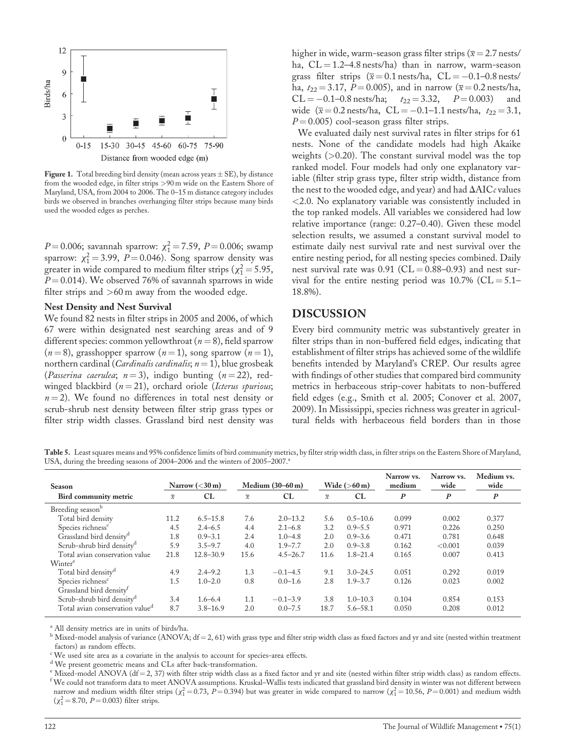

Figure 1. Total breeding bird density (mean across years  $\pm$  SE), by distance from the wooded edge, in filter strips >90 m wide on the Eastern Shore of Maryland, USA, from 2004 to 2006. The 0–15 m distance category includes birds we observed in branches overhanging filter strips because many birds used the wooded edges as perches.

 $P = 0.006$ ; savannah sparrow:  $\chi_1^2 = 7.59$ ,  $P = 0.006$ ; swamp sparrow:  $\chi_1^2 = 3.99$ ,  $P = 0.046$ ). Song sparrow density was greater in wide compared to medium filter strips ( $\chi_1^2 = 5.95$ ,  $P = 0.014$ ). We observed 76% of savannah sparrows in wide filter strips and >60 m away from the wooded edge.

#### Nest Density and Nest Survival

We found 82 nests in filter strips in 2005 and 2006, of which 67 were within designated nest searching areas and of 9 different species: common yellowthroat ( $n = 8$ ), field sparrow  $(n = 8)$ , grasshopper sparrow  $(n = 1)$ , song sparrow  $(n = 1)$ , northern cardinal (*Cardinalis cardinalis*;  $n = 1$ ), blue grosbeak (Passerina caerulea;  $n = 3$ ), indigo bunting ( $n = 22$ ), redwinged blackbird  $(n = 21)$ , orchard oriole (Icterus spurious;  $n = 2$ ). We found no differences in total nest density or scrub-shrub nest density between filter strip grass types or filter strip width classes. Grassland bird nest density was higher in wide, warm-season grass filter strips ( $\overline{x} = 2.7$  nests/ ha,  $CL = 1.2 - 4.8$  nests/ha) than in narrow, warm-season grass filter strips  $(\overline{x} = 0.1 \text{ nests/ha}, \text{ CL} = -0.1 - 0.8 \text{ nests/}$ ha,  $t_{22} = 3.17$ ,  $P = 0.005$ ), and in narrow ( $\bar{x} = 0.2$  nests/ha,  $CL = -0.1 - 0.8$  nests/ha;  $t_{22} = 3.32$ ,  $P = 0.003$ ) and wide  $(\bar{x} = 0.2 \text{ nests/ha}, \text{ CL} = -0.1 - 1.1 \text{ nests/ha}, t_{22} = 3.1,$  $P = 0.005$ ) cool-season grass filter strips.

We evaluated daily nest survival rates in filter strips for 61 nests. None of the candidate models had high Akaike weights (>0.20). The constant survival model was the top ranked model. Four models had only one explanatory variable (filter strip grass type, filter strip width, distance from the nest to the wooded edge, and year) and had  $\Delta AICc$  values <2.0. No explanatory variable was consistently included in the top ranked models. All variables we considered had low relative importance (range: 0.27–0.40). Given these model selection results, we assumed a constant survival model to estimate daily nest survival rate and nest survival over the entire nesting period, for all nesting species combined. Daily nest survival rate was  $0.91$  (CL = 0.88–0.93) and nest survival for the entire nesting period was  $10.7\%$  (CL = 5.1– 18.8%).

#### DISCUSSION

Every bird community metric was substantively greater in filter strips than in non-buffered field edges, indicating that establishment of filter strips has achieved some of the wildlife benefits intended by Maryland's CREP. Our results agree with findings of other studies that compared bird community metrics in herbaceous strip-cover habitats to non-buffered field edges (e.g., Smith et al. 2005; Conover et al. 2007, 2009). In Mississippi, species richness was greater in agricultural fields with herbaceous field borders than in those

Table 5. Least squares means and 95% confidence limits of bird community metrics, by filter strip width class, in filter strips on the Eastern Shore of Maryland, USA, during the breeding seasons of 2004–2006 and the winters of 2005–2007.<sup>a</sup>

| Season                                      |                          | Medium $(30-60 \,\mathrm{m})$<br>Narrow $(<30 \,\mathrm{m})$ |                          | Wide $(>60 \,\mathrm{m})$ |                          | Narrow vs.<br>medium | Narrow vs.<br>wide | Medium vs.<br>wide |                  |
|---------------------------------------------|--------------------------|--------------------------------------------------------------|--------------------------|---------------------------|--------------------------|----------------------|--------------------|--------------------|------------------|
| <b>Bird community metric</b>                | $\overline{\mathcal{X}}$ | CL                                                           | $\overline{\mathcal{X}}$ | CL                        | $\overline{\mathcal{X}}$ | CL                   | $\boldsymbol{P}$   | $\boldsymbol{P}$   | $\boldsymbol{P}$ |
| Breeding season <sup>b</sup>                |                          |                                                              |                          |                           |                          |                      |                    |                    |                  |
| Total bird density                          | 11.2                     | $6.5 - 15.8$                                                 | 7.6                      | $2.0 - 13.2$              | 5.6                      | $0.5 - 10.6$         | 0.099              | 0.002              | 0.377            |
| Species richness <sup>c</sup>               | 4.5                      | $2.4 - 6.5$                                                  | 4.4                      | $2.1 - 6.8$               | 3.2                      | $0.9 - 5.5$          | 0.971              | 0.226              | 0.250            |
| Grassland bird density <sup>d</sup>         | 1.8                      | $0.9 - 3.1$                                                  | 2.4                      | $1.0 - 4.8$               | 2.0                      | $0.9 - 3.6$          | 0.471              | 0.781              | 0.648            |
| Scrub-shrub bird density <sup>d</sup>       | 5.9                      | $3.5 - 9.7$                                                  | 4.0                      | $1.9 - 7.7$               | 2.0                      | $0.9 - 3.8$          | 0.162              | < 0.001            | 0.039            |
| Total avian conservation value              | 21.8                     | $12.8 - 30.9$                                                | 15.6                     | $4.5 - 26.7$              | 11.6                     | $1.8 - 21.4$         | 0.165              | 0.007              | 0.413            |
| Winter <sup>e</sup>                         |                          |                                                              |                          |                           |                          |                      |                    |                    |                  |
| Total bird density <sup>d</sup>             | 4.9                      | $2.4 - 9.2$                                                  | 1.3                      | $-0.1 - 4.5$              | 9.1                      | $3.0 - 24.5$         | 0.051              | 0.292              | 0.019            |
| Species richness <sup>c</sup>               | 1.5                      | $1.0 - 2.0$                                                  | 0.8                      | $0.0 - 1.6$               | 2.8                      | $1.9 - 3.7$          | 0.126              | 0.023              | 0.002            |
| Grassland bird density <sup>t</sup>         |                          |                                                              |                          |                           |                          |                      |                    |                    |                  |
| Scrub-shrub bird density <sup>d</sup>       | 3.4                      | $1.6 - 6.4$                                                  | 1.1                      | $-0.1 - 3.9$              | 3.8                      | $1.0 - 10.3$         | 0.104              | 0.854              | 0.153            |
| Total avian conservation value <sup>d</sup> | 8.7                      | $3.8 - 16.9$                                                 | 2.0                      | $0.0 - 7.5$               | 18.7                     | $5.6 - 58.1$         | 0.050              | 0.208              | 0.012            |

<sup>a</sup> All density metrics are in units of birds/ha.

 $b$  Mixed-model analysis of variance (ANOVA; df = 2, 61) with grass type and filter strip width class as fixed factors and yr and site (nested within treatment factors) as random effects.

<sup>c</sup> We used site area as a covariate in the analysis to account for species-area effects.

<sup>d</sup> We present geometric means and CLs after back-transformation.

 $e$  Mixed-model ANOVA (df = 2, 37) with filter strip width class as a fixed factor and yr and site (nested within filter strip width class) as random effects.  $^{\rm f}$  We could not transform data to meet ANOVA assumptions. Kruskal–Wallis tests indicated that grassland bird density in winter was not different between narrow and medium width filter strips ( $\chi_1^2 = 0.73$ , P=0.394) but was greater in wide compared to narrow ( $\chi_1^2 = 10.56$ , P=0.001) and medium width  $(\chi_1^2 = 8.70, P = 0.003)$  filter strips.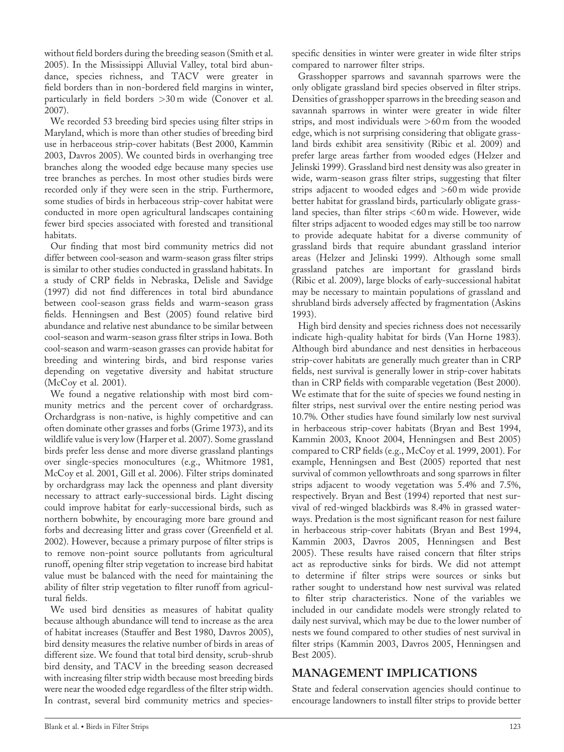without field borders during the breeding season (Smith et al. 2005). In the Mississippi Alluvial Valley, total bird abundance, species richness, and TACV were greater in field borders than in non-bordered field margins in winter, particularly in field borders >30 m wide (Conover et al. 2007).

We recorded 53 breeding bird species using filter strips in Maryland, which is more than other studies of breeding bird use in herbaceous strip-cover habitats (Best 2000, Kammin 2003, Davros 2005). We counted birds in overhanging tree branches along the wooded edge because many species use tree branches as perches. In most other studies birds were recorded only if they were seen in the strip. Furthermore, some studies of birds in herbaceous strip-cover habitat were conducted in more open agricultural landscapes containing fewer bird species associated with forested and transitional habitats.

Our finding that most bird community metrics did not differ between cool-season and warm-season grass filter strips is similar to other studies conducted in grassland habitats. In a study of CRP fields in Nebraska, Delisle and Savidge (1997) did not find differences in total bird abundance between cool-season grass fields and warm-season grass fields. Henningsen and Best (2005) found relative bird abundance and relative nest abundance to be similar between cool-season and warm-season grass filter strips in Iowa. Both cool-season and warm-season grasses can provide habitat for breeding and wintering birds, and bird response varies depending on vegetative diversity and habitat structure (McCoy et al. 2001).

We found a negative relationship with most bird community metrics and the percent cover of orchardgrass. Orchardgrass is non-native, is highly competitive and can often dominate other grasses and forbs (Grime 1973), and its wildlife value is very low (Harper et al. 2007). Some grassland birds prefer less dense and more diverse grassland plantings over single-species monocultures (e.g., Whitmore 1981, McCoy et al. 2001, Gill et al. 2006). Filter strips dominated by orchardgrass may lack the openness and plant diversity necessary to attract early-successional birds. Light discing could improve habitat for early-successional birds, such as northern bobwhite, by encouraging more bare ground and forbs and decreasing litter and grass cover (Greenfield et al. 2002). However, because a primary purpose of filter strips is to remove non-point source pollutants from agricultural runoff, opening filter strip vegetation to increase bird habitat value must be balanced with the need for maintaining the ability of filter strip vegetation to filter runoff from agricultural fields.

We used bird densities as measures of habitat quality because although abundance will tend to increase as the area of habitat increases (Stauffer and Best 1980, Davros 2005), bird density measures the relative number of birds in areas of different size. We found that total bird density, scrub-shrub bird density, and TACV in the breeding season decreased with increasing filter strip width because most breeding birds were near the wooded edge regardless of the filter strip width. In contrast, several bird community metrics and species-

specific densities in winter were greater in wide filter strips compared to narrower filter strips.

Grasshopper sparrows and savannah sparrows were the only obligate grassland bird species observed in filter strips. Densities of grasshopper sparrows in the breeding season and savannah sparrows in winter were greater in wide filter strips, and most individuals were >60 m from the wooded edge, which is not surprising considering that obligate grassland birds exhibit area sensitivity (Ribic et al. 2009) and prefer large areas farther from wooded edges (Helzer and Jelinski 1999). Grassland bird nest density was also greater in wide, warm-season grass filter strips, suggesting that filter strips adjacent to wooded edges and >60 m wide provide better habitat for grassland birds, particularly obligate grassland species, than filter strips  $<$  60 m wide. However, wide filter strips adjacent to wooded edges may still be too narrow to provide adequate habitat for a diverse community of grassland birds that require abundant grassland interior areas (Helzer and Jelinski 1999). Although some small grassland patches are important for grassland birds (Ribic et al. 2009), large blocks of early-successional habitat may be necessary to maintain populations of grassland and shrubland birds adversely affected by fragmentation (Askins 1993).

High bird density and species richness does not necessarily indicate high-quality habitat for birds (Van Horne 1983). Although bird abundance and nest densities in herbaceous strip-cover habitats are generally much greater than in CRP fields, nest survival is generally lower in strip-cover habitats than in CRP fields with comparable vegetation (Best 2000). We estimate that for the suite of species we found nesting in filter strips, nest survival over the entire nesting period was 10.7%. Other studies have found similarly low nest survival in herbaceous strip-cover habitats (Bryan and Best 1994, Kammin 2003, Knoot 2004, Henningsen and Best 2005) compared to CRP fields (e.g., McCoy et al. 1999, 2001). For example, Henningsen and Best (2005) reported that nest survival of common yellowthroats and song sparrows in filter strips adjacent to woody vegetation was 5.4% and 7.5%, respectively. Bryan and Best (1994) reported that nest survival of red-winged blackbirds was 8.4% in grassed waterways. Predation is the most significant reason for nest failure in herbaceous strip-cover habitats (Bryan and Best 1994, Kammin 2003, Davros 2005, Henningsen and Best 2005). These results have raised concern that filter strips act as reproductive sinks for birds. We did not attempt to determine if filter strips were sources or sinks but rather sought to understand how nest survival was related to filter strip characteristics. None of the variables we included in our candidate models were strongly related to daily nest survival, which may be due to the lower number of nests we found compared to other studies of nest survival in filter strips (Kammin 2003, Davros 2005, Henningsen and Best 2005).

# MANAGEMENT IMPLICATIONS

State and federal conservation agencies should continue to encourage landowners to install filter strips to provide better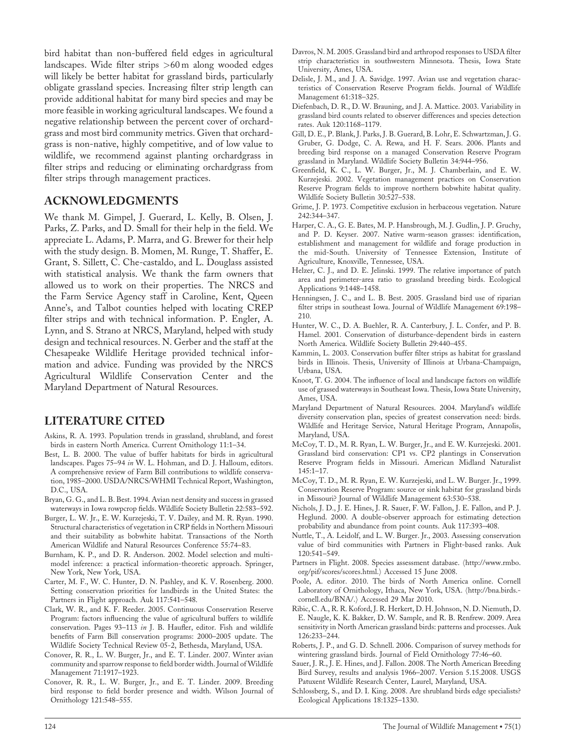bird habitat than non-buffered field edges in agricultural landscapes. Wide filter strips >60 m along wooded edges will likely be better habitat for grassland birds, particularly obligate grassland species. Increasing filter strip length can provide additional habitat for many bird species and may be more feasible in working agricultural landscapes. We found a negative relationship between the percent cover of orchardgrass and most bird community metrics. Given that orchardgrass is non-native, highly competitive, and of low value to wildlife, we recommend against planting orchardgrass in filter strips and reducing or eliminating orchardgrass from filter strips through management practices.

## ACKNOWLEDGMENTS

We thank M. Gimpel, J. Guerard, L. Kelly, B. Olsen, J. Parks, Z. Parks, and D. Small for their help in the field. We appreciate L. Adams, P. Marra, and G. Brewer for their help with the study design. B. Momen, M. Runge, T. Shaffer, E. Grant, S. Sillett, C. Che-castaldo, and L. Douglass assisted with statistical analysis. We thank the farm owners that allowed us to work on their properties. The NRCS and the Farm Service Agency staff in Caroline, Kent, Queen Anne's, and Talbot counties helped with locating CREP filter strips and with technical information. P. Engler, A. Lynn, and S. Strano at NRCS, Maryland, helped with study design and technical resources. N. Gerber and the staff at the Chesapeake Wildlife Heritage provided technical information and advice. Funding was provided by the NRCS Agricultural Wildlife Conservation Center and the Maryland Department of Natural Resources.

## LITERATURE CITED

- Askins, R. A. 1993. Population trends in grassland, shrubland, and forest birds in eastern North America. Current Ornithology 11:1–34.
- Best, L. B. 2000. The value of buffer habitats for birds in agricultural landscapes. Pages 75–94 in W. L. Hohman, and D. J. Halloum, editors. A comprehensive review of Farm Bill contributions to wildlife conservation, 1985–2000. USDA/NRCS/WHMI Technical Report, Washington, D.C., USA.
- Bryan, G. G., and L. B. Best. 1994. Avian nest density and success in grassed waterways in Iowa rowpcrop fields. Wildlife Society Bulletin 22:583–592.
- Burger, L. W. Jr., E. W. Kurzejeski, T. V. Dailey, and M. R. Ryan. 1990. Structural characteristics of vegetation in CRP fields in Northern Missouri and their suitability as bobwhite habitat. Transactions of the North American Wildlife and Natural Resources Conference 55:74–83.
- Burnham, K. P., and D. R. Anderson. 2002. Model selection and multimodel inference: a practical information-theoretic approach. Springer, New York, New York, USA.
- Carter, M. F., W. C. Hunter, D. N. Pashley, and K. V. Rosenberg. 2000. Setting conservation priorities for landbirds in the United States: the Partners in Flight approach. Auk 117:541–548.
- Clark, W. R., and K. F. Reeder. 2005. Continuous Conservation Reserve Program: factors influencing the value of agricultural buffers to wildlife conservation. Pages 93-113 in J. B. Haufler, editor. Fish and wildlife benefits of Farm Bill conservation programs: 2000–2005 update. The Wildlife Society Technical Review 05-2, Bethesda, Maryland, USA.
- Conover, R. R., L. W. Burger, Jr., and E. T. Linder. 2007. Winter avian community and sparrow response to field border width. Journal of Wildlife Management 71:1917–1923.
- Conover, R. R., L. W. Burger, Jr., and E. T. Linder. 2009. Breeding bird response to field border presence and width. Wilson Journal of Ornithology 121:548–555.
- Davros, N. M. 2005. Grassland bird and arthropod responses to USDA filter strip characteristics in southwestern Minnesota. Thesis, Iowa State University, Ames, USA.
- Delisle, J. M., and J. A. Savidge. 1997. Avian use and vegetation characteristics of Conservation Reserve Program fields. Journal of Wildlife Management 61:318–325.
- Diefenbach, D. R., D. W. Brauning, and J. A. Mattice. 2003. Variability in grassland bird counts related to observer differences and species detection rates. Auk 120:1168–1179.
- Gill, D. E., P. Blank, J. Parks, J. B. Guerard, B. Lohr, E. Schwartzman, J. G. Gruber, G. Dodge, C. A. Rewa, and H. F. Sears. 2006. Plants and breeding bird response on a managed Conservation Reserve Program grassland in Maryland. Wildlife Society Bulletin 34:944–956.
- Greenfield, K. C., L. W. Burger, Jr., M. J. Chamberlain, and E. W. Kurzejeski. 2002. Vegetation management practices on Conservation Reserve Program fields to improve northern bobwhite habitat quality. Wildlife Society Bulletin 30:527–538.
- Grime, J. P. 1973. Competitive exclusion in herbaceous vegetation. Nature 242:344–347.
- Harper, C. A., G. E. Bates, M. P. Hansbrough, M. J. Gudlin, J. P. Gruchy, and P. D. Keyser. 2007. Native warm-season grasses: identification, establishment and management for wildlife and forage production in the mid-South. University of Tennessee Extension, Institute of Agriculture, Knoxville, Tennessee, USA.
- Helzer, C. J., and D. E. Jelinski. 1999. The relative importance of patch area and perimeter-area ratio to grassland breeding birds. Ecological Applications 9:1448–1458.
- Henningsen, J. C., and L. B. Best. 2005. Grassland bird use of riparian filter strips in southeast Iowa. Journal of Wildlife Management 69:198– 210.
- Hunter, W. C., D. A. Buehler, R. A. Canterbury, J. L. Confer, and P. B. Hamel. 2001. Conservation of disturbance-dependent birds in eastern North America. Wildlife Society Bulletin 29:440–455.
- Kammin, L. 2003. Conservation buffer filter strips as habitat for grassland birds in Illinois. Thesis, University of Illinois at Urbana-Champaign, Urbana, USA.
- Knoot, T. G. 2004. The influence of local and landscape factors on wildlife use of grassed waterways in Southeast Iowa. Thesis, Iowa State University, Ames, USA.
- Maryland Department of Natural Resources. 2004. Maryland's wildlife diversity conservation plan, species of greatest conservation need: birds. Wildlife and Heritage Service, Natural Heritage Program, Annapolis, Maryland, USA.
- McCoy, T. D., M. R. Ryan, L. W. Burger, Jr., and E. W. Kurzejeski. 2001. Grassland bird conservation: CP1 vs. CP2 plantings in Conservation Reserve Program fields in Missouri. American Midland Naturalist 145:1–17.
- McCoy, T. D., M. R. Ryan, E. W. Kurzejeski, and L. W. Burger. Jr., 1999. Conservation Reserve Program: source or sink habitat for grassland birds in Missouri? Journal of Wildlife Management 63:530–538.
- Nichols, J. D., J. E. Hines, J. R. Sauer, F. W. Fallon, J. E. Fallon, and P. J. Heglund. 2000. A double-observer approach for estimating detection probability and abundance from point counts. Auk 117:393–408.
- Nuttle, T., A. Leidolf, and L. W. Burger. Jr., 2003. Assessing conservation value of bird communities with Partners in Flight-based ranks. Auk 120:541–549.
- Partners in Flight. 2008. Species assessment database. (http://www.rmbo. org/pif/scores/scores.html.) Accessed 15 June 2008.
- Poole, A. editor. 2010. The birds of North America online. Cornell Laboratory of Ornithology, Ithaca, New York, USA. (http://bna.birds.cornell.edu/BNA/.) Accessed 29 Mar 2010.
- Ribic, C. A., R. R. Koford, J. R. Herkert, D. H. Johnson, N. D. Niemuth, D. E. Naugle, K. K. Bakker, D. W. Sample, and R. B. Renfrew. 2009. Area sensitivity in North American grassland birds: patterns and processes. Auk 126:233–244.
- Roberts, J. P., and G. D. Schnell. 2006. Comparison of survey methods for wintering grassland birds. Journal of Field Ornithology 77:46–60.
- Sauer, J. R., J. E. Hines, and J. Fallon. 2008. The North American Breeding Bird Survey, results and analysis 1966–2007. Version 5.15.2008. USGS Patuxent Wildlife Research Center, Laurel, Maryland, USA.
- Schlossberg, S., and D. I. King. 2008. Are shrubland birds edge specialists? Ecological Applications 18:1325–1330.